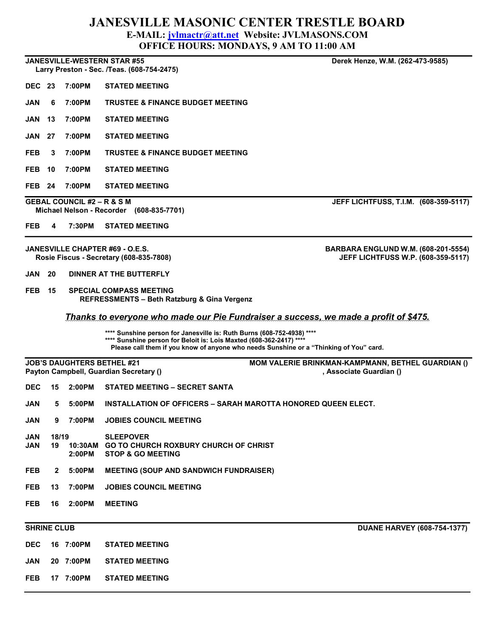# JANESVILLE MASONIC CENTER TRESTLE BOARD

#### E-MAIL: jvlmactr@att.net Website: JVLMASONS.COM

OFFICE HOURS: MONDAYS, 9 AM TO 11:00 AM

### JANESVILLE-WESTERN STAR #55 Derek Henze, W.M. (262-473-9585)

Larry Preston - Sec. /Teas. (608-754-2475)

- DEC 23 7:00PM STATED MEETING
- JAN 6 7:00PM TRUSTEE & FINANCE BUDGET MEETING
- JAN 13 7:00PM STATED MEETING
- JAN 27 7:00PM STATED MEETING
- FEB 3 7:00PM TRUSTEE & FINANCE BUDGET MEETING
- FEB 10 7:00PM STATED MEETING
- FEB 24 7:00PM STATED MEETING

## GEBAL COUNCIL #2 – R & S M JEFF LICHTFUSS, T.I.M. (608-359-5117)

- Michael Nelson Recorder (608-835-7701)
- FEB 4 7:30PM STATED MEETING

- JAN 20 DINNER AT THE BUTTERFLY
- FEB 15 SPECIAL COMPASS MEETING REFRESSMENTS – Beth Ratzburg & Gina Vergenz

Thanks to everyone who made our Pie Fundraiser a success, we made a profit of \$475.

\*\*\*\* Sunshine person for Janesville is: Ruth Burns (608-752-4938) \*\*\*\*

\*\*\*\* Sunshine person for Beloit is: Lois Maxted (608-362-2417) \*\*

Please call them if you know of anyone who needs Sunshine or a "Thinking of You" card.

JOB'S DAUGHTERS BETHEL #21 MOM VALERIE BRINKMAN-KAMPMANN, BETHEL GUARDIAN () Payton Campbell, Guardian Secretary () and the secret of the secretary of the secretary of the secretary of the secretary () and the secretary of the secretary of the secretary of the secretary of the secretary of the secr

|  | DEC 15 2:00PM STATED MEETING - SECRET SANTA |
|--|---------------------------------------------|
|  |                                             |

- JAN 5 5:00PM INSTALLATION OF OFFICERS SARAH MAROTTA HONORED QUEEN ELECT.
- JAN 9 7:00PM JOBIES COUNCIL MEETING
- JAN 18/19 SLEEPOVER JAN 19 10:30AM GO TO CHURCH ROXBURY CHURCH OF CHRIST 2:00PM STOP & GO MEETING
- FEB 2 5:00PM MEETING (SOUP AND SANDWICH FUNDRAISER)
- FEB 13 7:00PM JOBIES COUNCIL MEETING
- FEB 16 2:00PM MEETING

DEC 16 7:00PM STATED MEETING

- JAN 20 7:00PM STATED MEETING
- FEB 17 7:00PM STATED MEETING

SHRINE CLUB DUANE HARVEY (608-754-1377)

JANESVILLE CHAPTER #69 - O.E.S. BARBARA ENGLUND W.M. (608-201-5554)

Rosie Fiscus - Secretary (608-835-7808) JEFF LICHTFUSS W.P. (608-359-5117)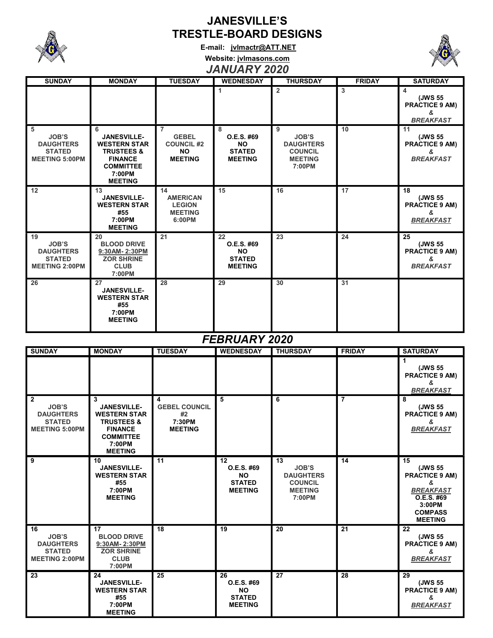

# JANESVILLE'S TRESTLE-BOARD DESIGNS

E-mail: jvlmactr@ATT.NET



Website: jvlmasons.com

# JANUARY 2020

| <b>SUNDAY</b>                                                                    | <b>MONDAY</b>                                                                                                                             | <b>TUESDAY</b>                                                                     | <b>WEDNESDAY</b>                                                 | <b>THURSDAY</b>                                                                     | <b>FRIDAY</b> | <b>SATURDAY</b>                                                 |  |  |  |
|----------------------------------------------------------------------------------|-------------------------------------------------------------------------------------------------------------------------------------------|------------------------------------------------------------------------------------|------------------------------------------------------------------|-------------------------------------------------------------------------------------|---------------|-----------------------------------------------------------------|--|--|--|
|                                                                                  |                                                                                                                                           |                                                                                    | 1                                                                | $\overline{2}$                                                                      | 3             | 4<br>(JWS 55<br><b>PRACTICE 9 AM)</b><br>&<br><b>BREAKFAST</b>  |  |  |  |
| 5<br><b>JOB'S</b><br><b>DAUGHTERS</b><br><b>STATED</b><br><b>MEETING 5:00PM</b>  | 6<br><b>JANESVILLE-</b><br><b>WESTERN STAR</b><br><b>TRUSTEES &amp;</b><br><b>FINANCE</b><br><b>COMMITTEE</b><br>7:00PM<br><b>MEETING</b> | $\overline{7}$<br><b>GEBEL</b><br><b>COUNCIL #2</b><br><b>NO</b><br><b>MEETING</b> | 8<br>O.E.S. #69<br><b>NO</b><br><b>STATED</b><br><b>MEETING</b>  | 9<br><b>JOB'S</b><br><b>DAUGHTERS</b><br><b>COUNCIL</b><br><b>MEETING</b><br>7:00PM | 10            | 11<br>(JWS 55<br><b>PRACTICE 9 AM)</b><br>&<br><b>BREAKFAST</b> |  |  |  |
| 12                                                                               | 13<br><b>JANESVILLE-</b><br><b>WESTERN STAR</b><br>#55<br>7:00PM<br><b>MEETING</b>                                                        | 14<br><b>AMERICAN</b><br><b>LEGION</b><br><b>MEETING</b><br>6:00PM                 | 15                                                               | 16                                                                                  | 17            | 18<br>(JWS 55<br><b>PRACTICE 9 AM)</b><br>&<br><b>BREAKFAST</b> |  |  |  |
| 19<br><b>JOB'S</b><br><b>DAUGHTERS</b><br><b>STATED</b><br><b>MEETING 2:00PM</b> | 20<br><b>BLOOD DRIVE</b><br>9:30AM-2:30PM<br><b>ZOR SHRINE</b><br><b>CLUB</b><br>7:00PM                                                   | 21                                                                                 | 22<br>O.E.S. #69<br><b>NO</b><br><b>STATED</b><br><b>MEETING</b> | 23                                                                                  | 24            | 25<br>(JWS 55<br><b>PRACTICE 9 AM)</b><br>&<br><b>BREAKFAST</b> |  |  |  |
| 26                                                                               | 27<br><b>JANESVILLE-</b><br><b>WESTERN STAR</b><br>#55<br>7:00PM<br><b>MEETING</b>                                                        | 28                                                                                 | 29                                                               | 30                                                                                  | 31            |                                                                 |  |  |  |
|                                                                                  |                                                                                                                                           |                                                                                    |                                                                  |                                                                                     |               |                                                                 |  |  |  |

## FEBRUARY 2020

| <b>SUNDAY</b>                                                                                | <b>MONDAY</b>                                                                                                                             | <b>TUESDAY</b>                                              | <b>WEDNESDAY</b>                                                 | <b>THURSDAY</b>                                                                      | <b>FRIDAY</b>  | <b>SATURDAY</b>                                                                                                             |
|----------------------------------------------------------------------------------------------|-------------------------------------------------------------------------------------------------------------------------------------------|-------------------------------------------------------------|------------------------------------------------------------------|--------------------------------------------------------------------------------------|----------------|-----------------------------------------------------------------------------------------------------------------------------|
|                                                                                              |                                                                                                                                           |                                                             |                                                                  |                                                                                      |                | 1<br>(JWS 55<br><b>PRACTICE 9 AM)</b><br>&<br><b>BREAKFAST</b>                                                              |
| $\overline{2}$<br><b>JOB'S</b><br><b>DAUGHTERS</b><br><b>STATED</b><br><b>MEETING 5:00PM</b> | 3<br><b>JANESVILLE-</b><br><b>WESTERN STAR</b><br><b>TRUSTEES &amp;</b><br><b>FINANCE</b><br><b>COMMITTEE</b><br>7:00PM<br><b>MEETING</b> | 4<br><b>GEBEL COUNCIL</b><br>#2<br>7:30PM<br><b>MEETING</b> | 5                                                                | 6                                                                                    | $\overline{7}$ | 8<br>(JWS 55<br><b>PRACTICE 9 AM)</b><br>&<br><b>BREAKFAST</b>                                                              |
| 9                                                                                            | 10<br><b>JANESVILLE-</b><br><b>WESTERN STAR</b><br>#55<br>7:00PM<br><b>MEETING</b>                                                        | 11                                                          | 12<br>O.E.S. #69<br><b>NO</b><br><b>STATED</b><br><b>MEETING</b> | 13<br><b>JOB'S</b><br><b>DAUGHTERS</b><br><b>COUNCIL</b><br><b>MEETING</b><br>7:00PM | 14             | 15<br>(JWS 55<br><b>PRACTICE 9 AM)</b><br>&<br><b>BREAKFAST</b><br>O.E.S. #69<br>3:00PM<br><b>COMPASS</b><br><b>MEETING</b> |
| 16<br><b>JOB'S</b><br><b>DAUGHTERS</b><br><b>STATED</b><br><b>MEETING 2:00PM</b>             | 17<br><b>BLOOD DRIVE</b><br>9:30AM-2:30PM<br><b>ZOR SHRINE</b><br><b>CLUB</b><br>7:00PM                                                   | 18                                                          | 19                                                               | 20                                                                                   | 21             | 22<br>(JWS 55<br><b>PRACTICE 9 AM)</b><br>ጼ<br><b>BREAKFAST</b>                                                             |
| 23                                                                                           | 24<br><b>JANESVILLE-</b><br><b>WESTERN STAR</b><br>#55<br>7:00PM<br><b>MEETING</b>                                                        | 25                                                          | 26<br>O.E.S. #69<br><b>NO</b><br><b>STATED</b><br><b>MEETING</b> | 27                                                                                   | 28             | 29<br>(JWS 55<br><b>PRACTICE 9 AM)</b><br>&<br><b>BREAKFAST</b>                                                             |